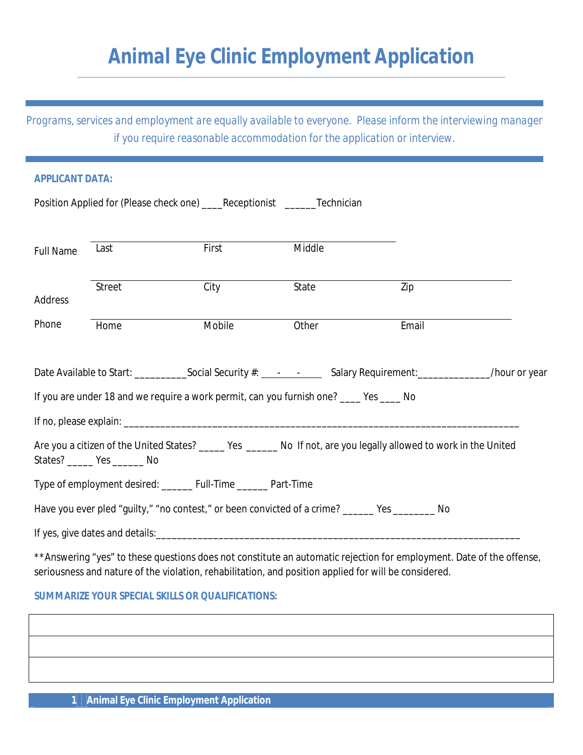## *Animal Eye Clinic Employment Application*

*Programs, services and employment are equally available to everyone. Please inform the interviewing manager if you require reasonable accommodation for the application or interview.*

| <b>APPLICANT DATA:</b>                                                                                                                                |        |        |                                                                                                                            |       |  |  |
|-------------------------------------------------------------------------------------------------------------------------------------------------------|--------|--------|----------------------------------------------------------------------------------------------------------------------------|-------|--|--|
|                                                                                                                                                       |        |        | Position Applied for (Please check one) _____Receptionist _________Technician                                              |       |  |  |
|                                                                                                                                                       |        |        |                                                                                                                            |       |  |  |
| <b>Full Name</b>                                                                                                                                      | Last   | First  | Middle                                                                                                                     |       |  |  |
|                                                                                                                                                       |        |        |                                                                                                                            |       |  |  |
| Address                                                                                                                                               | Street | City   | State                                                                                                                      | Zip   |  |  |
| Phone                                                                                                                                                 | Home   | Mobile | Other                                                                                                                      | Email |  |  |
|                                                                                                                                                       |        |        |                                                                                                                            |       |  |  |
|                                                                                                                                                       |        |        | Date Available to Start: ______________Social Security #: _________________Salary Requirement: ______________/hour or year |       |  |  |
| If you are under 18 and we require a work permit, can you furnish one? ____ Yes ____ No                                                               |        |        |                                                                                                                            |       |  |  |
|                                                                                                                                                       |        |        |                                                                                                                            |       |  |  |
| Are you a citizen of the United States? ______ Yes ______ No If not, are you legally allowed to work in the United<br>States? _______ Yes ________ No |        |        |                                                                                                                            |       |  |  |
| Type of employment desired: _______ Full-Time _______ Part-Time                                                                                       |        |        |                                                                                                                            |       |  |  |
| Have you ever pled "guilty," "no contest," or been convicted of a crime? ______ Yes _______ No                                                        |        |        |                                                                                                                            |       |  |  |
|                                                                                                                                                       |        |        |                                                                                                                            |       |  |  |
|                                                                                                                                                       |        |        | **Anguering "yee" to these questions does not constitute an automatic rejection for employment. Data of the offense        |       |  |  |

Answering "yes" to these questions does not constitute an automatic rejection for employment. Date of the offense, seriousness and nature of the violation, rehabilitation, and position applied for will be considered.

## *SUMMARIZE YOUR SPECIAL SKILLS OR QUALIFICATIONS:*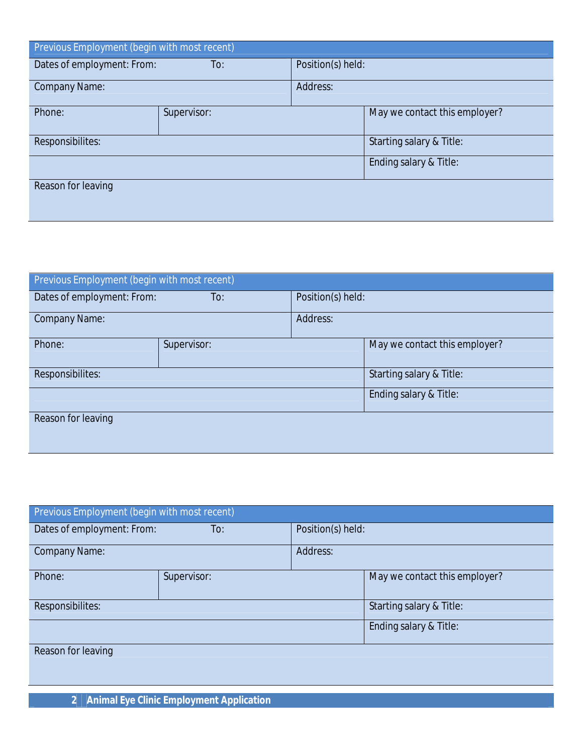| Previous Employment (begin with most recent) |             |                        |                               |  |  |
|----------------------------------------------|-------------|------------------------|-------------------------------|--|--|
| Dates of employment: From:                   | To:         | Position(s) held:      |                               |  |  |
| <b>Company Name:</b>                         |             | Address:               |                               |  |  |
| Phone:                                       | Supervisor: |                        | May we contact this employer? |  |  |
| Responsibilites:                             |             |                        | Starting salary & Title:      |  |  |
|                                              |             | Ending salary & Title: |                               |  |  |
| Reason for leaving                           |             |                        |                               |  |  |

| Previous Employment (begin with most recent) |             |                        |                               |  |  |
|----------------------------------------------|-------------|------------------------|-------------------------------|--|--|
| Dates of employment: From:                   | To:         | Position(s) held:      |                               |  |  |
| <b>Company Name:</b>                         |             | Address:               |                               |  |  |
| Phone:                                       | Supervisor: |                        | May we contact this employer? |  |  |
| Responsibilites:                             |             |                        | Starting salary & Title:      |  |  |
|                                              |             | Ending salary & Title: |                               |  |  |
| Reason for leaving                           |             |                        |                               |  |  |

| Previous Employment (begin with most recent) |                        |                   |                               |  |  |
|----------------------------------------------|------------------------|-------------------|-------------------------------|--|--|
| Dates of employment: From:                   | To:                    | Position(s) held: |                               |  |  |
| <b>Company Name:</b>                         |                        | Address:          |                               |  |  |
| Phone:                                       | Supervisor:            |                   | May we contact this employer? |  |  |
| Responsibilites:                             |                        |                   | Starting salary & Title:      |  |  |
|                                              | Ending salary & Title: |                   |                               |  |  |
| Reason for leaving                           |                        |                   |                               |  |  |